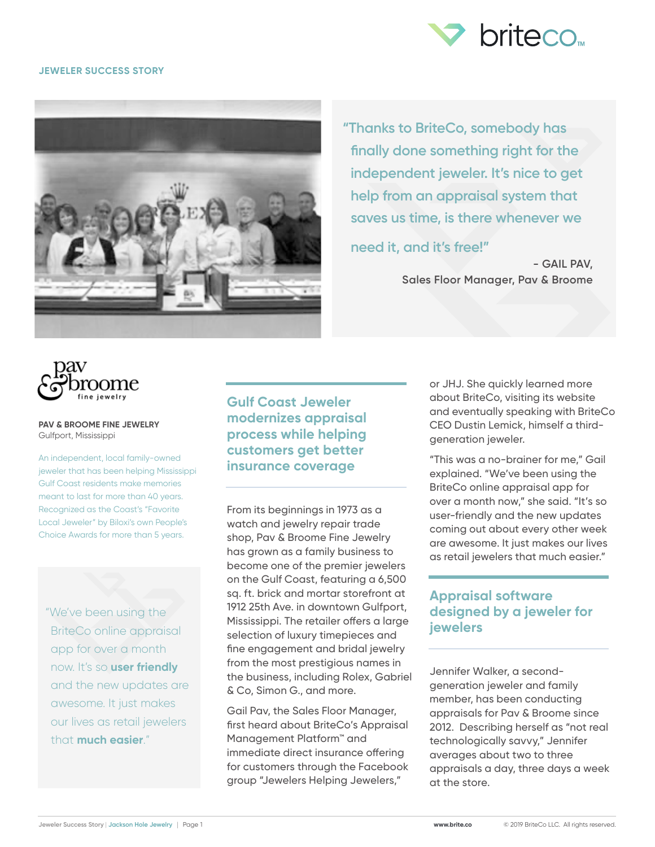

### **JEWELER SUCCESS STORY**



**"Thanks to BriteCo, somebody has finally done something right for the independent jeweler. It's nice to get help from an appraisal system that saves us time, is there whenever we** 

**need it, and it's free!"** 

**- GAIL PAV, Sales Floor Manager, Pav & Broome**



#### **PAV & BROOME FINE JEWELRY** Gulfport, Mississippi

An independent, local family-owned jeweler that has been helping Mississippi Gulf Coast residents make memories meant to last for more than 40 years. Recognized as the Coast's "Favorite Local Jeweler" by Biloxi's own People's Choice Awards for more than 5 years.

"We've been using the BriteCo online appraisal app for over a month now. It's so **user friendly** and the new updates are awesome. It just makes our lives as retail jewelers that **much easier**."

**Gulf Coast Jeweler modernizes appraisal process while helping customers get better insurance coverage**

From its beginnings in 1973 as a watch and jewelry repair trade shop, Pav & Broome Fine Jewelry has grown as a family business to become one of the premier jewelers on the Gulf Coast, featuring a 6,500 sq. ft. brick and mortar storefront at 1912 25th Ave. in downtown Gulfport, Mississippi. The retailer offers a large selection of luxury timepieces and fine engagement and bridal jewelry from the most prestigious names in the business, including Rolex, Gabriel & Co, Simon G., and more.

Gail Pav, the Sales Floor Manager, first heard about BriteCo's Appraisal Management Platform<sup>™</sup> and immediate direct insurance offering for customers through the Facebook group "Jewelers Helping Jewelers,"

or JHJ. She quickly learned more about BriteCo, visiting its website and eventually speaking with BriteCo CEO Dustin Lemick, himself a thirdgeneration jeweler.

"This was a no-brainer for me," Gail explained. "We've been using the BriteCo online appraisal app for over a month now," she said. "It's so user-friendly and the new updates coming out about every other week are awesome. It just makes our lives as retail jewelers that much easier."

# **Appraisal software designed by a jeweler for jewelers**

Jennifer Walker, a secondgeneration jeweler and family member, has been conducting appraisals for Pav & Broome since 2012. Describing herself as "not real technologically savvy," Jennifer averages about two to three appraisals a day, three days a week at the store.